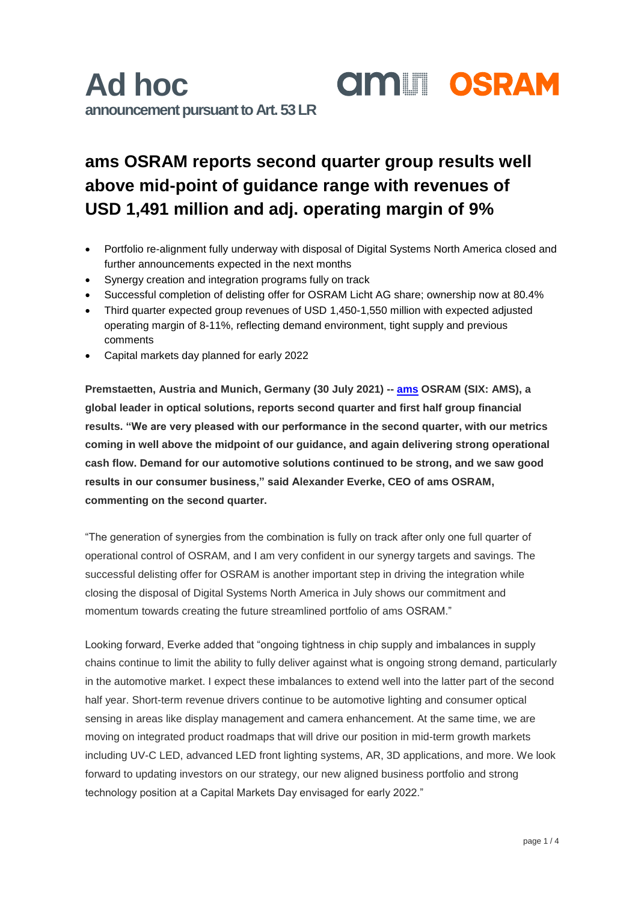### **ams OSRAM reports second quarter group results well above mid-point of guidance range with revenues of USD 1,491 million and adj. operating margin of 9%**

- Portfolio re-alignment fully underway with disposal of Digital Systems North America closed and further announcements expected in the next months
- Synergy creation and integration programs fully on track
- Successful completion of delisting offer for OSRAM Licht AG share; ownership now at 80.4%
- Third quarter expected group revenues of USD 1,450-1,550 million with expected adjusted operating margin of 8-11%, reflecting demand environment, tight supply and previous comments
- Capital markets day planned for early 2022

**Premstaetten, Austria and Munich, Germany (30 July 2021) -- [ams](https://ams.com/ams-start) OSRAM (SIX: AMS), a global leader in optical solutions, reports second quarter and first half group financial results. "We are very pleased with our performance in the second quarter, with our metrics coming in well above the midpoint of our guidance, and again delivering strong operational cash flow. Demand for our automotive solutions continued to be strong, and we saw good results in our consumer business," said Alexander Everke, CEO of ams OSRAM, commenting on the second quarter.** 

"The generation of synergies from the combination is fully on track after only one full quarter of operational control of OSRAM, and I am very confident in our synergy targets and savings. The successful delisting offer for OSRAM is another important step in driving the integration while closing the disposal of Digital Systems North America in July shows our commitment and momentum towards creating the future streamlined portfolio of ams OSRAM."

Looking forward, Everke added that "ongoing tightness in chip supply and imbalances in supply chains continue to limit the ability to fully deliver against what is ongoing strong demand, particularly in the automotive market. I expect these imbalances to extend well into the latter part of the second half year. Short-term revenue drivers continue to be automotive lighting and consumer optical sensing in areas like display management and camera enhancement. At the same time, we are moving on integrated product roadmaps that will drive our position in mid-term growth markets including UV-C LED, advanced LED front lighting systems, AR, 3D applications, and more. We look forward to updating investors on our strategy, our new aligned business portfolio and strong technology position at a Capital Markets Day envisaged for early 2022."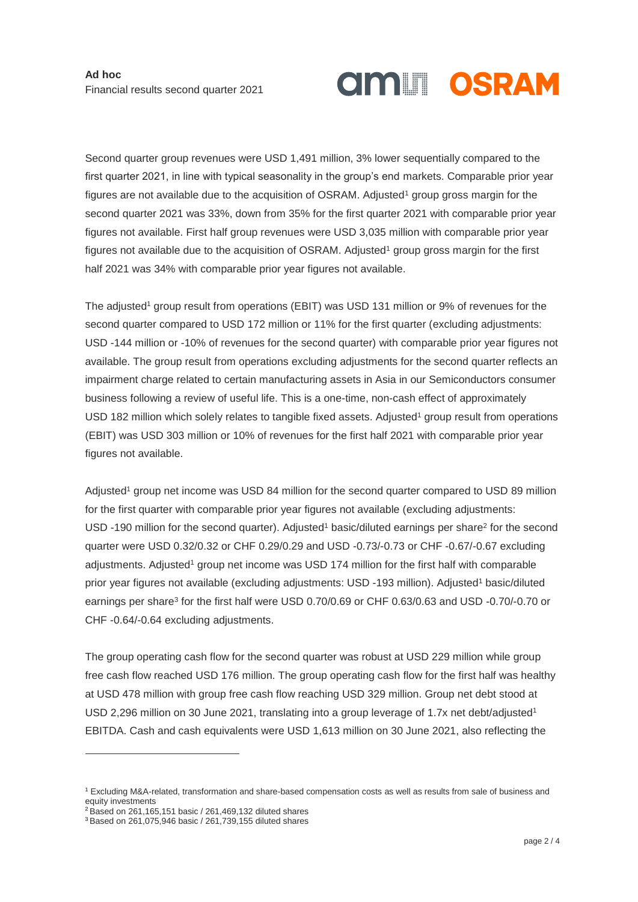# <span id="page-1-0"></span>**AMILI OSRAM**

Second quarter group revenues were USD 1,491 million, 3% lower sequentially compared to the first quarter 2021, in line with typical seasonality in the group's end markets. Comparable prior year figures are not available due to the acquisition of  $OSRAM$ . Adjusted<sup>1</sup> group gross margin for the second quarter 2021 was 33%, down from 35% for the first quarter 2021 with comparable prior year figures not available. First half group revenues were USD 3,035 million with comparable prior year figures not available [d](#page-1-0)ue to the acquisition of OSRAM. Adjusted<sup>1</sup> group gross margin for the first half 2021 was 34% with comparable prior year figures not available.

The adjusted<sup>[1](#page-1-0)</sup> group result from operations (EBIT) was USD 131 million or 9% of revenues for the second quarter compared to USD 172 million or 11% for the first quarter (excluding adjustments: USD -144 million or -10% of revenues for the second quarter) with comparable prior year figures not available. The group result from operations excluding adjustments for the second quarter reflects an impairment charge related to certain manufacturing assets in Asia in our Semiconductors consumer business following a review of useful life. This is a one-time, non-cash effect of approximately USD 182 million which solely relates to tangible fixe[d](#page-1-0) assets. Adjusted<sup>1</sup> group result from operations (EBIT) was USD 303 million or 10% of revenues for the first half 2021 with comparable prior year figures not available.

Adjusted<sup>[1](#page-1-0)</sup> group net income was USD 84 million for the second quarter compared to USD 89 million for the first quarter with comparable prior year figures not available (excluding adjustments: USD -[1](#page-1-0)90 million for the second quarter). Adjusted<sup>1</sup> basic/diluted earnings per share<sup>2</sup> for the second quarter were USD 0.32/0.32 or CHF 0.29/0.29 and USD -0.73/-0.73 or CHF -0.67/-0.67 excluding adjustments. Adjusted<sup>[1](#page-1-0)</sup> group net income was USD 174 million for the first half with comparable prior year figures not available (excluding adjustments: USD -[1](#page-1-0)93 million). Adjusted<sup>1</sup> basic/diluted earnings per share<sup>3</sup> for the first half were USD 0.70/0.69 or CHF 0.63/0.63 and USD -0.70/-0.70 or CHF -0.64/-0.64 excluding adjustments.

The group operating cash flow for the second quarter was robust at USD 229 million while group free cash flow reached USD 176 million. The group operating cash flow for the first half was healthy at USD 478 million with group free cash flow reaching USD 329 million. Group net debt stood at USD 2,296 million on 30 June 2021, translating into a group leverage of 1.7x net [d](#page-1-0)ebt/adjusted<sup>1</sup> EBITDA. Cash and cash equivalents were USD 1,613 million on 30 June 2021, also reflecting the

-

<sup>1</sup> Excluding M&A-related, transformation and share-based compensation costs as well as results from sale of business and equity investments

<sup>2</sup> Based on 261,165,151 basic / 261,469,132 diluted shares

<sup>3</sup> Based on 261,075,946 basic / 261,739,155 diluted shares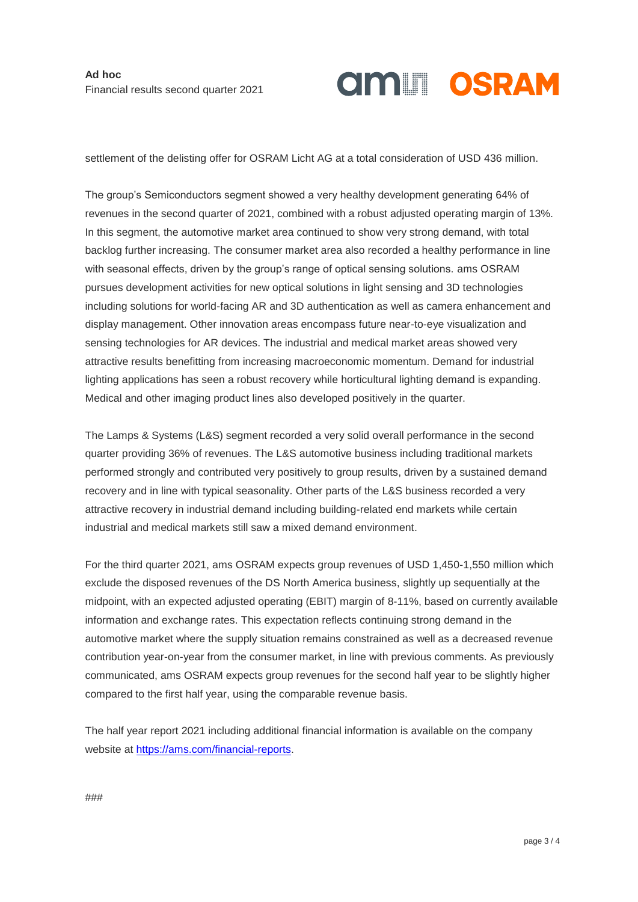# **AMILI OSRAM**

settlement of the delisting offer for OSRAM Licht AG at a total consideration of USD 436 million.

The group's Semiconductors segment showed a very healthy development generating 64% of revenues in the second quarter of 2021, combined with a robust adjusted operating margin of 13%. In this segment, the automotive market area continued to show very strong demand, with total backlog further increasing. The consumer market area also recorded a healthy performance in line with seasonal effects, driven by the group's range of optical sensing solutions. ams OSRAM pursues development activities for new optical solutions in light sensing and 3D technologies including solutions for world-facing AR and 3D authentication as well as camera enhancement and display management. Other innovation areas encompass future near-to-eye visualization and sensing technologies for AR devices. The industrial and medical market areas showed very attractive results benefitting from increasing macroeconomic momentum. Demand for industrial lighting applications has seen a robust recovery while horticultural lighting demand is expanding. Medical and other imaging product lines also developed positively in the quarter.

The Lamps & Systems (L&S) segment recorded a very solid overall performance in the second quarter providing 36% of revenues. The L&S automotive business including traditional markets performed strongly and contributed very positively to group results, driven by a sustained demand recovery and in line with typical seasonality. Other parts of the L&S business recorded a very attractive recovery in industrial demand including building-related end markets while certain industrial and medical markets still saw a mixed demand environment.

For the third quarter 2021, ams OSRAM expects group revenues of USD 1,450-1,550 million which exclude the disposed revenues of the DS North America business, slightly up sequentially at the midpoint, with an expected adjusted operating (EBIT) margin of 8-11%, based on currently available information and exchange rates. This expectation reflects continuing strong demand in the automotive market where the supply situation remains constrained as well as a decreased revenue contribution year-on-year from the consumer market, in line with previous comments. As previously communicated, ams OSRAM expects group revenues for the second half year to be slightly higher compared to the first half year, using the comparable revenue basis.

The half year report 2021 including additional financial information is available on the company website at [https://ams.com/financial-reports.](https://ams.com/financial-reports)